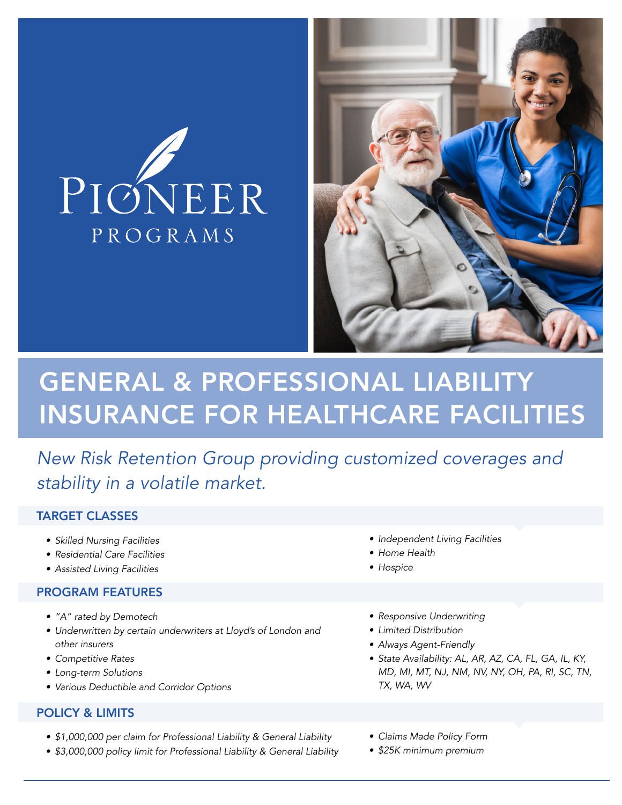



# GENERAL & PROFESSIONAL LIABILITY INSURANCE FOR HEALTHCARE FACILITIES

*New Risk Retention Group providing customized coverages and stability in a volatile market.*

## TARGET CLASSES

- *• Skilled Nursing Facilities*
- *• Residential Care Facilities*
- *• Assisted Living Facilities*

#### PROGRAM FEATURES

- *• "A" rated by Demotech*
- *• Underwritten by certain underwriters at Lloyd's of London and other insurers*
- *• Competitive Rates*
- *• Long-term Solutions*
- *• Various Deductible and Corridor Options*

## POLICY & LIMITS

- *• \$1,000,000 per claim for Professional Liability & General Liability*
- *• \$3,000,000 policy limit for Professional Liability & General Liability*
- *• Independent Living Facilities*
- *• Home Health*
- *• Hospice*
- *• Responsive Underwriting*
- *• Limited Distribution*
- *• Always Agent-Friendly*
- *• State Availability: AL, AR, AZ, CA, FL, GA, IL, KY, MD, MI, MT, NJ, NM, NV, NY, OH, PA, RI, SC, TN, TX, WA, WV*
- *• Claims Made Policy Form*
- *• \$25K minimum premium*